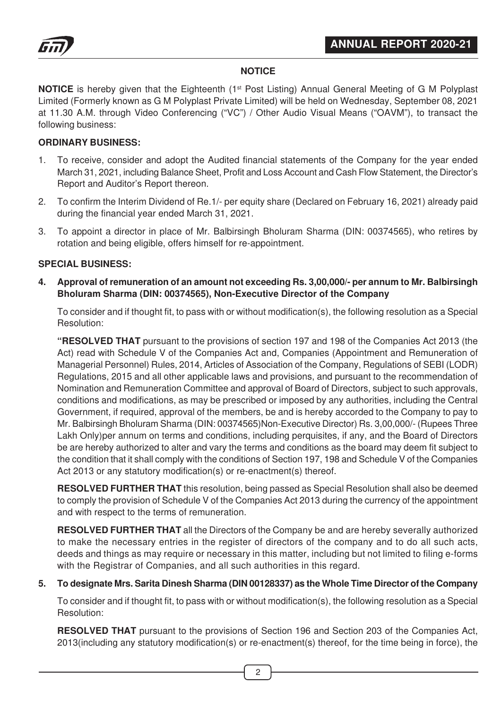

# **NOTICE**

**NOTICE** is hereby given that the Eighteenth (1<sup>st</sup> Post Listing) Annual General Meeting of G M Polyplast Limited (Formerly known as G M Polyplast Private Limited) will be held on Wednesday, September 08, 2021 at 11.30 A.M. through Video Conferencing ("VC") / Other Audio Visual Means ("OAVM"), to transact the following business:

#### **ORDINARY BUSINESS:**

- 1. To receive, consider and adopt the Audited financial statements of the Company for the year ended March 31, 2021, including Balance Sheet, Profit and Loss Account and Cash Flow Statement, the Director's Report and Auditor's Report thereon.
- 2. To confirm the Interim Dividend of Re.1/- per equity share (Declared on February 16, 2021) already paid during the financial year ended March 31, 2021.
- 3. To appoint a director in place of Mr. Balbirsingh Bholuram Sharma (DIN: 00374565), who retires by rotation and being eligible, offers himself for re-appointment.

#### **SPECIAL BUSINESS:**

**4. Approval of remuneration of an amount not exceeding Rs. 3,00,000/- per annum to Mr. Balbirsingh Bholuram Sharma (DIN: 00374565), Non-Executive Director of the Company**

To consider and if thought fit, to pass with or without modification(s), the following resolution as a Special Resolution:

**"RESOLVED THAT** pursuant to the provisions of section 197 and 198 of the Companies Act 2013 (the Act) read with Schedule V of the Companies Act and, Companies (Appointment and Remuneration of Managerial Personnel) Rules, 2014, Articles of Association of the Company, Regulations of SEBI (LODR) Regulations, 2015 and all other applicable laws and provisions, and pursuant to the recommendation of Nomination and Remuneration Committee and approval of Board of Directors, subject to such approvals, conditions and modifications, as may be prescribed or imposed by any authorities, including the Central Government, if required, approval of the members, be and is hereby accorded to the Company to pay to Mr. Balbirsingh Bholuram Sharma (DIN: 00374565)Non-Executive Director) Rs. 3,00,000/- (Rupees Three Lakh Only)per annum on terms and conditions, including perquisites, if any, and the Board of Directors be are hereby authorized to alter and vary the terms and conditions as the board may deem fit subject to the condition that it shall comply with the conditions of Section 197, 198 and Schedule V of the Companies Act 2013 or any statutory modification(s) or re-enactment(s) thereof.

**RESOLVED FURTHER THAT** this resolution, being passed as Special Resolution shall also be deemed to comply the provision of Schedule V of the Companies Act 2013 during the currency of the appointment and with respect to the terms of remuneration.

**RESOLVED FURTHER THAT** all the Directors of the Company be and are hereby severally authorized to make the necessary entries in the register of directors of the company and to do all such acts, deeds and things as may require or necessary in this matter, including but not limited to filing e-forms with the Registrar of Companies, and all such authorities in this regard.

#### **5. To designate Mrs. Sarita Dinesh Sharma (DIN 00128337) as the Whole Time Director of the Company**

To consider and if thought fit, to pass with or without modification(s), the following resolution as a Special Resolution:

**RESOLVED THAT** pursuant to the provisions of Section 196 and Section 203 of the Companies Act, 2013(including any statutory modification(s) or re-enactment(s) thereof, for the time being in force), the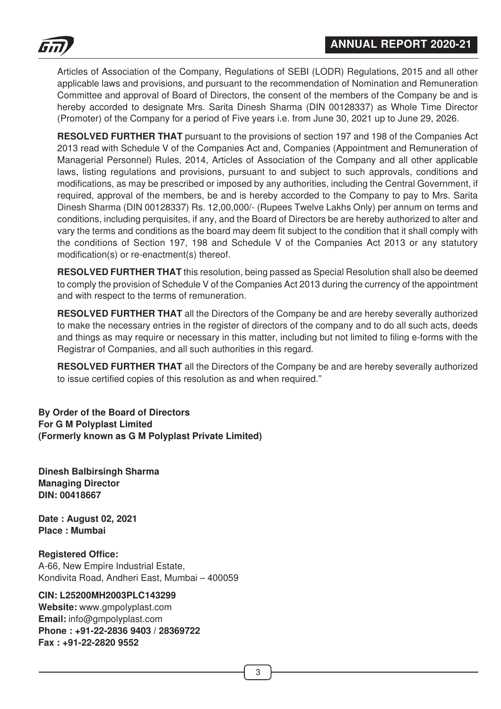

Articles of Association of the Company, Regulations of SEBI (LODR) Regulations, 2015 and all other applicable laws and provisions, and pursuant to the recommendation of Nomination and Remuneration Committee and approval of Board of Directors, the consent of the members of the Company be and is hereby accorded to designate Mrs. Sarita Dinesh Sharma (DIN 00128337) as Whole Time Director (Promoter) of the Company for a period of Five years i.e. from June 30, 2021 up to June 29, 2026.

**RESOLVED FURTHER THAT** pursuant to the provisions of section 197 and 198 of the Companies Act 2013 read with Schedule V of the Companies Act and, Companies (Appointment and Remuneration of Managerial Personnel) Rules, 2014, Articles of Association of the Company and all other applicable laws, listing regulations and provisions, pursuant to and subject to such approvals, conditions and modifications, as may be prescribed or imposed by any authorities, including the Central Government, if required, approval of the members, be and is hereby accorded to the Company to pay to Mrs. Sarita Dinesh Sharma (DIN 00128337) Rs. 12,00,000/- (Rupees Twelve Lakhs Only) per annum on terms and conditions, including perquisites, if any, and the Board of Directors be are hereby authorized to alter and vary the terms and conditions as the board may deem fit subject to the condition that it shall comply with the conditions of Section 197, 198 and Schedule V of the Companies Act 2013 or any statutory modification(s) or re-enactment(s) thereof.

**RESOLVED FURTHER THAT** this resolution, being passed as Special Resolution shall also be deemed to comply the provision of Schedule V of the Companies Act 2013 during the currency of the appointment and with respect to the terms of remuneration.

**RESOLVED FURTHER THAT** all the Directors of the Company be and are hereby severally authorized to make the necessary entries in the register of directors of the company and to do all such acts, deeds and things as may require or necessary in this matter, including but not limited to filing e-forms with the Registrar of Companies, and all such authorities in this regard.

**RESOLVED FURTHER THAT** all the Directors of the Company be and are hereby severally authorized to issue certified copies of this resolution as and when required."

**By Order of the Board of Directors For G M Polyplast Limited (Formerly known as G M Polyplast Private Limited)**

**Dinesh Balbirsingh Sharma Managing Director DIN: 00418667**

**Date : August 02, 2021 Place : Mumbai**

**Registered Office:** A-66, New Empire Industrial Estate, Kondivita Road, Andheri East, Mumbai – 400059

#### **CIN: L25200MH2003PLC143299**

**Website:** www.gmpolyplast.com **Email:** info@gmpolyplast.com **Phone : +91-22-2836 9403 / 28369722 Fax : +91-22-2820 9552**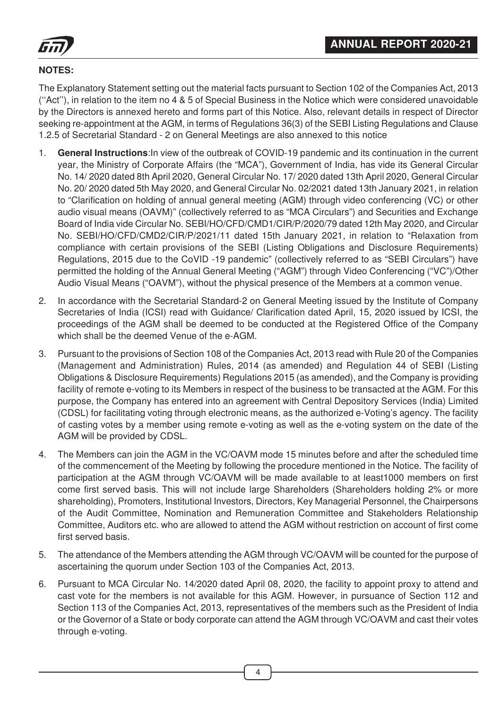

# **NOTES:**

The Explanatory Statement setting out the material facts pursuant to Section 102 of the Companies Act, 2013 (''Act''), in relation to the item no 4 & 5 of Special Business in the Notice which were considered unavoidable by the Directors is annexed hereto and forms part of this Notice. Also, relevant details in respect of Director seeking re-appointment at the AGM, in terms of Regulations 36(3) of the SEBI Listing Regulations and Clause 1.2.5 of Secretarial Standard - 2 on General Meetings are also annexed to this notice

- 1. **General Instructions**:In view of the outbreak of COVID-19 pandemic and its continuation in the current year, the Ministry of Corporate Affairs (the "MCA"), Government of India, has vide its General Circular No. 14/ 2020 dated 8th April 2020, General Circular No. 17/ 2020 dated 13th April 2020, General Circular No. 20/ 2020 dated 5th May 2020, and General Circular No. 02/2021 dated 13th January 2021, in relation to "Clarification on holding of annual general meeting (AGM) through video conferencing (VC) or other audio visual means (OAVM)" (collectively referred to as "MCA Circulars") and Securities and Exchange Board of India vide Circular No. SEBI/HO/CFD/CMD1/CIR/P/2020/79 dated 12th May 2020, and Circular No. SEBI/HO/CFD/CMD2/CIR/P/2021/11 dated 15th January 2021, in relation to "Relaxation from compliance with certain provisions of the SEBI (Listing Obligations and Disclosure Requirements) Regulations, 2015 due to the CoVID -19 pandemic" (collectively referred to as "SEBI Circulars") have permitted the holding of the Annual General Meeting ("AGM") through Video Conferencing ("VC")/Other Audio Visual Means ("OAVM"), without the physical presence of the Members at a common venue.
- 2. In accordance with the Secretarial Standard-2 on General Meeting issued by the Institute of Company Secretaries of India (ICSI) read with Guidance/ Clarification dated April, 15, 2020 issued by ICSI, the proceedings of the AGM shall be deemed to be conducted at the Registered Office of the Company which shall be the deemed Venue of the e-AGM.
- 3. Pursuant to the provisions of Section 108 of the Companies Act, 2013 read with Rule 20 of the Companies (Management and Administration) Rules, 2014 (as amended) and Regulation 44 of SEBI (Listing Obligations & Disclosure Requirements) Regulations 2015 (as amended), and the Company is providing facility of remote e-voting to its Members in respect of the business to be transacted at the AGM. For this purpose, the Company has entered into an agreement with Central Depository Services (India) Limited (CDSL) for facilitating voting through electronic means, as the authorized e-Voting's agency. The facility of casting votes by a member using remote e-voting as well as the e-voting system on the date of the AGM will be provided by CDSL.
- 4. The Members can join the AGM in the VC/OAVM mode 15 minutes before and after the scheduled time of the commencement of the Meeting by following the procedure mentioned in the Notice. The facility of participation at the AGM through VC/OAVM will be made available to at least1000 members on first come first served basis. This will not include large Shareholders (Shareholders holding 2% or more shareholding), Promoters, Institutional Investors, Directors, Key Managerial Personnel, the Chairpersons of the Audit Committee, Nomination and Remuneration Committee and Stakeholders Relationship Committee, Auditors etc. who are allowed to attend the AGM without restriction on account of first come first served basis.
- 5. The attendance of the Members attending the AGM through VC/OAVM will be counted for the purpose of ascertaining the quorum under Section 103 of the Companies Act, 2013.
- 6. Pursuant to MCA Circular No. 14/2020 dated April 08, 2020, the facility to appoint proxy to attend and cast vote for the members is not available for this AGM. However, in pursuance of Section 112 and Section 113 of the Companies Act, 2013, representatives of the members such as the President of India or the Governor of a State or body corporate can attend the AGM through VC/OAVM and cast their votes through e-voting.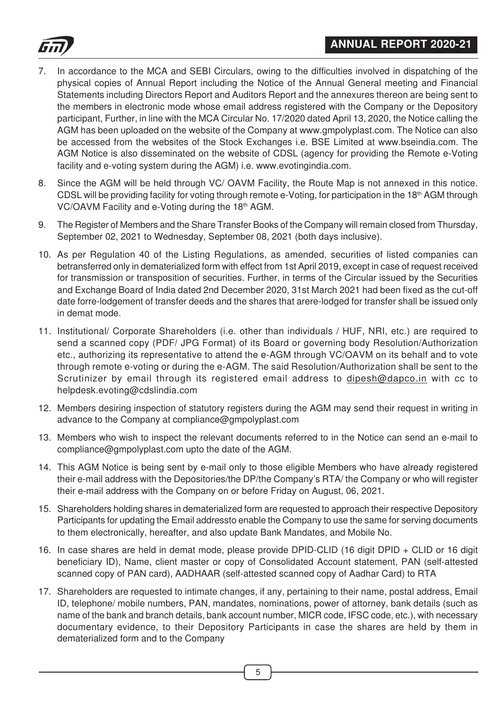



- 7. In accordance to the MCA and SEBI Circulars, owing to the difficulties involved in dispatching of the physical copies of Annual Report including the Notice of the Annual General meeting and Financial Statements including Directors Report and Auditors Report and the annexures thereon are being sent to the members in electronic mode whose email address registered with the Company or the Depository participant, Further, in line with the MCA Circular No. 17/2020 dated April 13, 2020, the Notice calling the AGM has been uploaded on the website of the Company at www.gmpolyplast.com. The Notice can also be accessed from the websites of the Stock Exchanges i.e. BSE Limited at www.bseindia.com. The AGM Notice is also disseminated on the website of CDSL (agency for providing the Remote e-Voting facility and e-voting system during the AGM) i.e. www.evotingindia.com.
- 8. Since the AGM will be held through VC/ OAVM Facility, the Route Map is not annexed in this notice. CDSL will be providing facility for voting through remote e-Voting, for participation in the 18<sup>th</sup> AGM through VC/OAVM Facility and e-Voting during the 18th AGM.
- 9. The Register of Members and the Share Transfer Books of the Company will remain closed from Thursday, September 02, 2021 to Wednesday, September 08, 2021 (both days inclusive).
- 10. As per Regulation 40 of the Listing Regulations, as amended, securities of listed companies can betransferred only in dematerialized form with effect from 1st April 2019, except in case of request received for transmission or transposition of securities. Further, in terms of the Circular issued by the Securities and Exchange Board of India dated 2nd December 2020, 31st March 2021 had been fixed as the cut-off date forre-lodgement of transfer deeds and the shares that arere-lodged for transfer shall be issued only in demat mode.
- 11. Institutional/ Corporate Shareholders (i.e. other than individuals / HUF, NRI, etc.) are required to send a scanned copy (PDF/ JPG Format) of its Board or governing body Resolution/Authorization etc., authorizing its representative to attend the e-AGM through VC/OAVM on its behalf and to vote through remote e-voting or during the e-AGM. The said Resolution/Authorization shall be sent to the Scrutinizer by email through its registered email address to dipesh@dapco.in with cc to helpdesk.evoting@cdslindia.com
- 12. Members desiring inspection of statutory registers during the AGM may send their request in writing in advance to the Company at compliance@gmpolyplast.com
- 13. Members who wish to inspect the relevant documents referred to in the Notice can send an e-mail to compliance@gmpolyplast.com upto the date of the AGM.
- 14. This AGM Notice is being sent by e-mail only to those eligible Members who have already registered their e-mail address with the Depositories/the DP/the Company's RTA/ the Company or who will register their e-mail address with the Company on or before Friday on August, 06, 2021.
- 15. Shareholders holding shares in dematerialized form are requested to approach their respective Depository Participants for updating the Email addressto enable the Company to use the same for serving documents to them electronically, hereafter, and also update Bank Mandates, and Mobile No.
- 16. In case shares are held in demat mode, please provide DPID-CLID (16 digit DPID + CLID or 16 digit beneficiary ID), Name, client master or copy of Consolidated Account statement, PAN (self-attested scanned copy of PAN card), AADHAAR (self-attested scanned copy of Aadhar Card) to RTA
- 17. Shareholders are requested to intimate changes, if any, pertaining to their name, postal address, Email ID, telephone/ mobile numbers, PAN, mandates, nominations, power of attorney, bank details (such as name of the bank and branch details, bank account number, MICR code, IFSC code, etc.), with necessary documentary evidence, to their Depository Participants in case the shares are held by them in dematerialized form and to the Company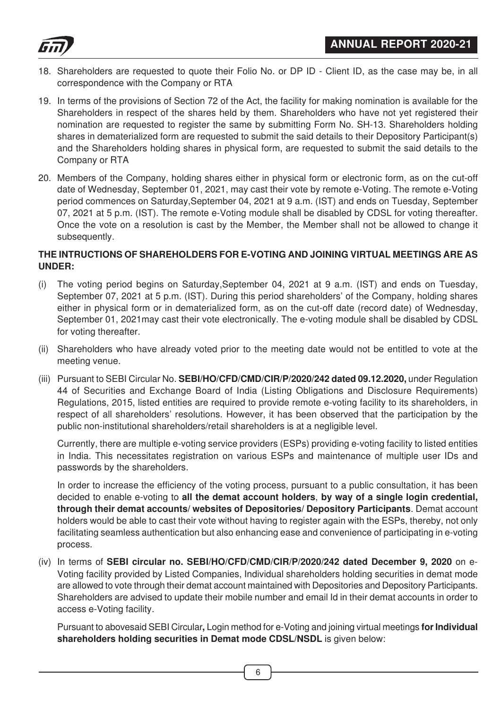

- 18. Shareholders are requested to quote their Folio No. or DP ID Client ID, as the case may be, in all correspondence with the Company or RTA
- 19. In terms of the provisions of Section 72 of the Act, the facility for making nomination is available for the Shareholders in respect of the shares held by them. Shareholders who have not yet registered their nomination are requested to register the same by submitting Form No. SH-13. Shareholders holding shares in dematerialized form are requested to submit the said details to their Depository Participant(s) and the Shareholders holding shares in physical form, are requested to submit the said details to the Company or RTA
- 20. Members of the Company, holding shares either in physical form or electronic form, as on the cut-off date of Wednesday, September 01, 2021, may cast their vote by remote e-Voting. The remote e-Voting period commences on Saturday,September 04, 2021 at 9 a.m. (IST) and ends on Tuesday, September 07, 2021 at 5 p.m. (IST). The remote e-Voting module shall be disabled by CDSL for voting thereafter. Once the vote on a resolution is cast by the Member, the Member shall not be allowed to change it subsequently.

#### **THE INTRUCTIONS OF SHAREHOLDERS FOR E-VOTING AND JOINING VIRTUAL MEETINGS ARE AS UNDER:**

- (i) The voting period begins on Saturday,September 04, 2021 at 9 a.m. (IST) and ends on Tuesday, September 07, 2021 at 5 p.m. (IST). During this period shareholders' of the Company, holding shares either in physical form or in dematerialized form, as on the cut-off date (record date) of Wednesday, September 01, 2021may cast their vote electronically. The e-voting module shall be disabled by CDSL for voting thereafter.
- (ii) Shareholders who have already voted prior to the meeting date would not be entitled to vote at the meeting venue.
- (iii) Pursuant to SEBI Circular No. **SEBI/HO/CFD/CMD/CIR/P/2020/242 dated 09.12.2020,** under Regulation 44 of Securities and Exchange Board of India (Listing Obligations and Disclosure Requirements) Regulations, 2015, listed entities are required to provide remote e-voting facility to its shareholders, in respect of all shareholders' resolutions. However, it has been observed that the participation by the public non-institutional shareholders/retail shareholders is at a negligible level.

Currently, there are multiple e-voting service providers (ESPs) providing e-voting facility to listed entities in India. This necessitates registration on various ESPs and maintenance of multiple user IDs and passwords by the shareholders.

In order to increase the efficiency of the voting process, pursuant to a public consultation, it has been decided to enable e-voting to **all the demat account holders**, **by way of a single login credential, through their demat accounts/ websites of Depositories/ Depository Participants**. Demat account holders would be able to cast their vote without having to register again with the ESPs, thereby, not only facilitating seamless authentication but also enhancing ease and convenience of participating in e-voting process.

(iv) In terms of **SEBI circular no. SEBI/HO/CFD/CMD/CIR/P/2020/242 dated December 9, 2020** on e-Voting facility provided by Listed Companies, Individual shareholders holding securities in demat mode are allowed to vote through their demat account maintained with Depositories and Depository Participants. Shareholders are advised to update their mobile number and email Id in their demat accounts in order to access e-Voting facility.

Pursuant to abovesaid SEBI Circular**,** Login method for e-Voting and joining virtual meetings **for Individual shareholders holding securities in Demat mode CDSL/NSDL** is given below: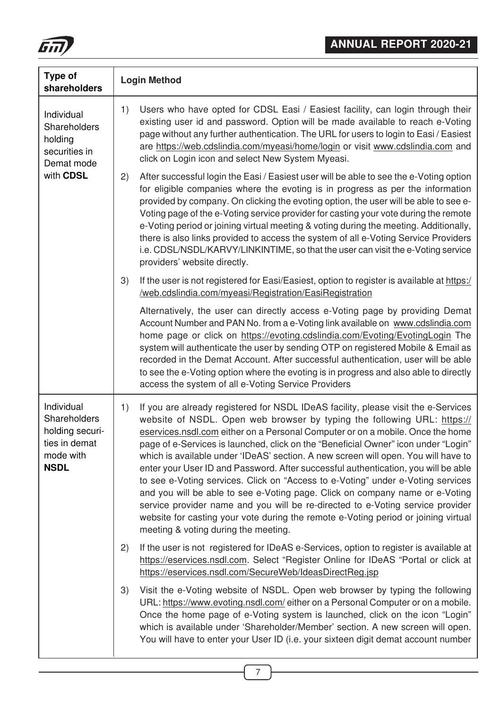

| Type of<br>shareholders                                                                           | <b>Login Method</b>                                                                                                                                                                                                                                                                                                                                                                                                                                                                                                                                                                                                                                                                                                                                                                                                                                                                                        |
|---------------------------------------------------------------------------------------------------|------------------------------------------------------------------------------------------------------------------------------------------------------------------------------------------------------------------------------------------------------------------------------------------------------------------------------------------------------------------------------------------------------------------------------------------------------------------------------------------------------------------------------------------------------------------------------------------------------------------------------------------------------------------------------------------------------------------------------------------------------------------------------------------------------------------------------------------------------------------------------------------------------------|
| Individual<br>Shareholders<br>holding<br>securities in<br>Demat mode                              | Users who have opted for CDSL Easi / Easiest facility, can login through their<br>1)<br>existing user id and password. Option will be made available to reach e-Voting<br>page without any further authentication. The URL for users to login to Easi / Easiest<br>are https://web.cdslindia.com/myeasi/home/login or visit www.cdslindia.com and<br>click on Login icon and select New System Myeasi.                                                                                                                                                                                                                                                                                                                                                                                                                                                                                                     |
| with CDSL                                                                                         | After successful login the Easi / Easiest user will be able to see the e-Voting option<br>2)<br>for eligible companies where the evoting is in progress as per the information<br>provided by company. On clicking the evoting option, the user will be able to see e-<br>Voting page of the e-Voting service provider for casting your vote during the remote<br>e-Voting period or joining virtual meeting & voting during the meeting. Additionally,<br>there is also links provided to access the system of all e-Voting Service Providers<br>i.e. CDSL/NSDL/KARVY/LINKINTIME, so that the user can visit the e-Voting service<br>providers' website directly.                                                                                                                                                                                                                                         |
|                                                                                                   | If the user is not registered for Easi/Easiest, option to register is available at https:/<br>3)<br>/web.cdslindia.com/myeasi/Registration/EasiRegistration                                                                                                                                                                                                                                                                                                                                                                                                                                                                                                                                                                                                                                                                                                                                                |
|                                                                                                   | Alternatively, the user can directly access e-Voting page by providing Demat<br>Account Number and PAN No. from a e-Voting link available on www.cdslindia.com<br>home page or click on https://evoting.cdslindia.com/Evoting/EvotingLogin The<br>system will authenticate the user by sending OTP on registered Mobile & Email as<br>recorded in the Demat Account. After successful authentication, user will be able<br>to see the e-Voting option where the evoting is in progress and also able to directly<br>access the system of all e-Voting Service Providers                                                                                                                                                                                                                                                                                                                                    |
| Individual<br><b>Shareholders</b><br>holding securi-<br>ties in demat<br>mode with<br><b>NSDL</b> | If you are already registered for NSDL IDeAS facility, please visit the e-Services<br>1)<br>website of NSDL. Open web browser by typing the following URL: https://<br>eservices.nsdl.com either on a Personal Computer or on a mobile. Once the home<br>page of e-Services is launched, click on the "Beneficial Owner" icon under "Login"<br>which is available under 'IDeAS' section. A new screen will open. You will have to<br>enter your User ID and Password. After successful authentication, you will be able<br>to see e-Voting services. Click on "Access to e-Voting" under e-Voting services<br>and you will be able to see e-Voting page. Click on company name or e-Voting<br>service provider name and you will be re-directed to e-Voting service provider<br>website for casting your vote during the remote e-Voting period or joining virtual<br>meeting & voting during the meeting. |
|                                                                                                   | If the user is not registered for IDeAS e-Services, option to register is available at<br>2)<br>https://eservices.nsdl.com. Select "Register Online for IDeAS "Portal or click at<br>https://eservices.nsdl.com/SecureWeb/IdeasDirectReg.jsp                                                                                                                                                                                                                                                                                                                                                                                                                                                                                                                                                                                                                                                               |
|                                                                                                   | Visit the e-Voting website of NSDL. Open web browser by typing the following<br>3)<br>URL: https://www.evoting.nsdl.com/either on a Personal Computer or on a mobile.<br>Once the home page of e-Voting system is launched, click on the icon "Login"<br>which is available under 'Shareholder/Member' section. A new screen will open.<br>You will have to enter your User ID (i.e. your sixteen digit demat account number                                                                                                                                                                                                                                                                                                                                                                                                                                                                               |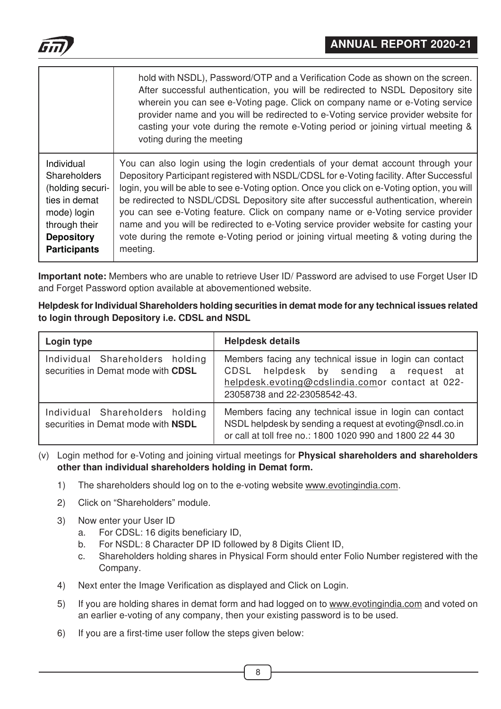

|                     | hold with NSDL), Password/OTP and a Verification Code as shown on the screen.<br>After successful authentication, you will be redirected to NSDL Depository site<br>wherein you can see e-Voting page. Click on company name or e-Voting service<br>provider name and you will be redirected to e-Voting service provider website for<br>casting your vote during the remote e-Voting period or joining virtual meeting &<br>voting during the meeting |
|---------------------|--------------------------------------------------------------------------------------------------------------------------------------------------------------------------------------------------------------------------------------------------------------------------------------------------------------------------------------------------------------------------------------------------------------------------------------------------------|
| Individual          | You can also login using the login credentials of your demat account through your                                                                                                                                                                                                                                                                                                                                                                      |
| <b>Shareholders</b> | Depository Participant registered with NSDL/CDSL for e-Voting facility. After Successful                                                                                                                                                                                                                                                                                                                                                               |
| (holding securi-    | login, you will be able to see e-Voting option. Once you click on e-Voting option, you will                                                                                                                                                                                                                                                                                                                                                            |
| ties in demat       | be redirected to NSDL/CDSL Depository site after successful authentication, wherein                                                                                                                                                                                                                                                                                                                                                                    |
| mode) login         | you can see e-Voting feature. Click on company name or e-Voting service provider                                                                                                                                                                                                                                                                                                                                                                       |
| through their       | name and you will be redirected to e-Voting service provider website for casting your                                                                                                                                                                                                                                                                                                                                                                  |
| <b>Depository</b>   | vote during the remote e-Voting period or joining virtual meeting & voting during the                                                                                                                                                                                                                                                                                                                                                                  |
| <b>Participants</b> | meeting.                                                                                                                                                                                                                                                                                                                                                                                                                                               |

**Important note:** Members who are unable to retrieve User ID/ Password are advised to use Forget User ID and Forget Password option available at abovementioned website.

| Helpdesk for Individual Shareholders holding securities in demat mode for any technical issues related |
|--------------------------------------------------------------------------------------------------------|
| to login through Depository i.e. CDSL and NSDL                                                         |

| Login type                                                            | <b>Helpdesk details</b>                                                                                                                                                              |  |
|-----------------------------------------------------------------------|--------------------------------------------------------------------------------------------------------------------------------------------------------------------------------------|--|
| Individual Shareholders holding<br>securities in Demat mode with CDSL | Members facing any technical issue in login can contact<br>CDSL helpdesk by sending a request at<br>helpdesk.evoting@cdslindia.comor contact at 022-<br>23058738 and 22-23058542-43. |  |
| Individual Shareholders holding<br>securities in Demat mode with NSDL | Members facing any technical issue in login can contact<br>NSDL helpdesk by sending a request at evoting@nsdl.co.in<br>or call at toll free no.: 1800 1020 990 and 1800 22 44 30     |  |

(v) Login method for e-Voting and joining virtual meetings for **Physical shareholders and shareholders other than individual shareholders holding in Demat form.**

- 1) The shareholders should log on to the e-voting website www.evotingindia.com.
- 2) Click on "Shareholders" module.
- 3) Now enter your User ID
	- a. For CDSL: 16 digits beneficiary ID,
	- b. For NSDL: 8 Character DP ID followed by 8 Digits Client ID,
	- c. Shareholders holding shares in Physical Form should enter Folio Number registered with the Company.
- 4) Next enter the Image Verification as displayed and Click on Login.
- 5) If you are holding shares in demat form and had logged on to www.evotingindia.com and voted on an earlier e-voting of any company, then your existing password is to be used.
- 6) If you are a first-time user follow the steps given below: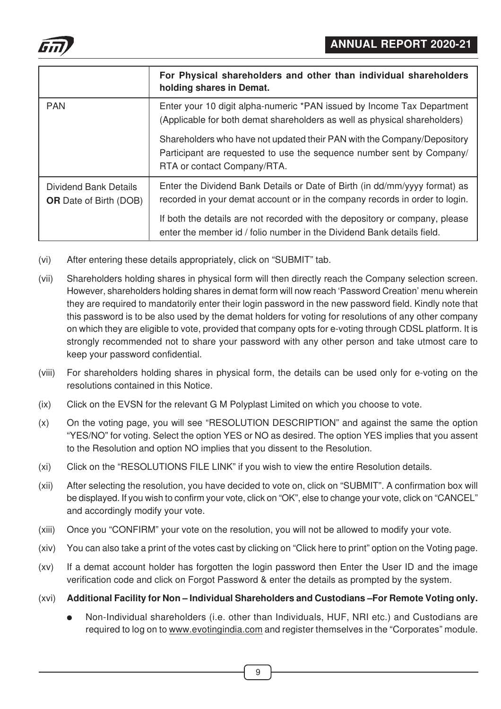

|                                                        | For Physical shareholders and other than individual shareholders<br>holding shares in Demat.                                                                                    |
|--------------------------------------------------------|---------------------------------------------------------------------------------------------------------------------------------------------------------------------------------|
| <b>PAN</b>                                             | Enter your 10 digit alpha-numeric *PAN issued by Income Tax Department<br>(Applicable for both demat shareholders as well as physical shareholders)                             |
|                                                        | Shareholders who have not updated their PAN with the Company/Depository<br>Participant are requested to use the sequence number sent by Company/<br>RTA or contact Company/RTA. |
| Dividend Bank Details<br><b>OR</b> Date of Birth (DOB) | Enter the Dividend Bank Details or Date of Birth (in dd/mm/yyyy format) as<br>recorded in your demat account or in the company records in order to login.                       |
|                                                        | If both the details are not recorded with the depository or company, please<br>enter the member id / folio number in the Dividend Bank details field.                           |

- (vi) After entering these details appropriately, click on "SUBMIT" tab.
- (vii) Shareholders holding shares in physical form will then directly reach the Company selection screen. However, shareholders holding shares in demat form will now reach 'Password Creation' menu wherein they are required to mandatorily enter their login password in the new password field. Kindly note that this password is to be also used by the demat holders for voting for resolutions of any other company on which they are eligible to vote, provided that company opts for e-voting through CDSL platform. It is strongly recommended not to share your password with any other person and take utmost care to keep your password confidential.
- (viii) For shareholders holding shares in physical form, the details can be used only for e-voting on the resolutions contained in this Notice.
- (ix) Click on the EVSN for the relevant G M Polyplast Limited on which you choose to vote.
- (x) On the voting page, you will see "RESOLUTION DESCRIPTION" and against the same the option "YES/NO" for voting. Select the option YES or NO as desired. The option YES implies that you assent to the Resolution and option NO implies that you dissent to the Resolution.
- (xi) Click on the "RESOLUTIONS FILE LINK" if you wish to view the entire Resolution details.
- (xii) After selecting the resolution, you have decided to vote on, click on "SUBMIT". A confirmation box will be displayed. If you wish to confirm your vote, click on "OK", else to change your vote, click on "CANCEL" and accordingly modify your vote.
- (xiii) Once you "CONFIRM" your vote on the resolution, you will not be allowed to modify your vote.
- (xiv) You can also take a print of the votes cast by clicking on "Click here to print" option on the Voting page.
- (xv) If a demat account holder has forgotten the login password then Enter the User ID and the image verification code and click on Forgot Password & enter the details as prompted by the system.
- (xvi) **Additional Facility for Non Individual Shareholders and Custodians –For Remote Voting only.**
	- Non-Individual shareholders (i.e. other than Individuals, HUF, NRI etc.) and Custodians are required to log on to www.evotingindia.com and register themselves in the "Corporates" module.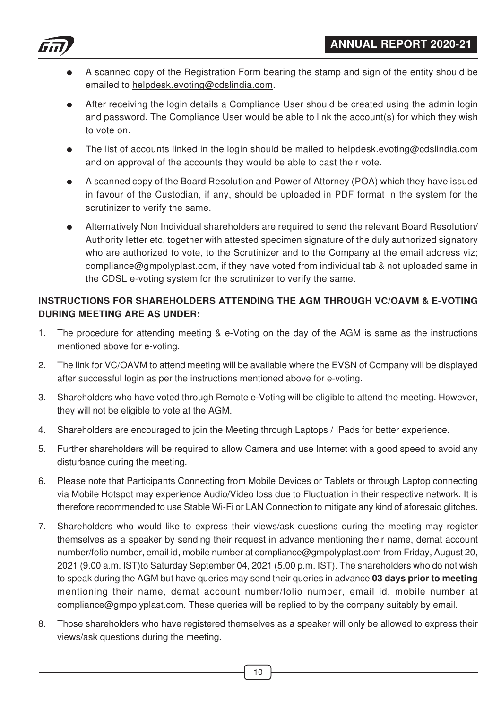

- A scanned copy of the Registration Form bearing the stamp and sign of the entity should be emailed to helpdesk.evoting@cdslindia.com.
- After receiving the login details a Compliance User should be created using the admin login and password. The Compliance User would be able to link the account(s) for which they wish to vote on.
- The list of accounts linked in the login should be mailed to helpdesk.evoting@cdslindia.com and on approval of the accounts they would be able to cast their vote.
- A scanned copy of the Board Resolution and Power of Attorney (POA) which they have issued in favour of the Custodian, if any, should be uploaded in PDF format in the system for the scrutinizer to verify the same.
- Alternatively Non Individual shareholders are required to send the relevant Board Resolution/ Authority letter etc. together with attested specimen signature of the duly authorized signatory who are authorized to vote, to the Scrutinizer and to the Company at the email address viz; compliance@gmpolyplast.com, if they have voted from individual tab & not uploaded same in the CDSL e-voting system for the scrutinizer to verify the same.

# **INSTRUCTIONS FOR SHAREHOLDERS ATTENDING THE AGM THROUGH VC/OAVM & E-VOTING DURING MEETING ARE AS UNDER:**

- 1. The procedure for attending meeting & e-Voting on the day of the AGM is same as the instructions mentioned above for e-voting.
- 2. The link for VC/OAVM to attend meeting will be available where the EVSN of Company will be displayed after successful login as per the instructions mentioned above for e-voting.
- 3. Shareholders who have voted through Remote e-Voting will be eligible to attend the meeting. However, they will not be eligible to vote at the AGM.
- 4. Shareholders are encouraged to join the Meeting through Laptops / IPads for better experience.
- 5. Further shareholders will be required to allow Camera and use Internet with a good speed to avoid any disturbance during the meeting.
- 6. Please note that Participants Connecting from Mobile Devices or Tablets or through Laptop connecting via Mobile Hotspot may experience Audio/Video loss due to Fluctuation in their respective network. It is therefore recommended to use Stable Wi-Fi or LAN Connection to mitigate any kind of aforesaid glitches.
- 7. Shareholders who would like to express their views/ask questions during the meeting may register themselves as a speaker by sending their request in advance mentioning their name, demat account number/folio number, email id, mobile number at compliance@gmpolyplast.com from Friday, August 20, 2021 (9.00 a.m. IST)to Saturday September 04, 2021 (5.00 p.m. IST). The shareholders who do not wish to speak during the AGM but have queries may send their queries in advance **03 days prior to meeting** mentioning their name, demat account number/folio number, email id, mobile number at compliance@gmpolyplast.com. These queries will be replied to by the company suitably by email.
- 8. Those shareholders who have registered themselves as a speaker will only be allowed to express their views/ask questions during the meeting.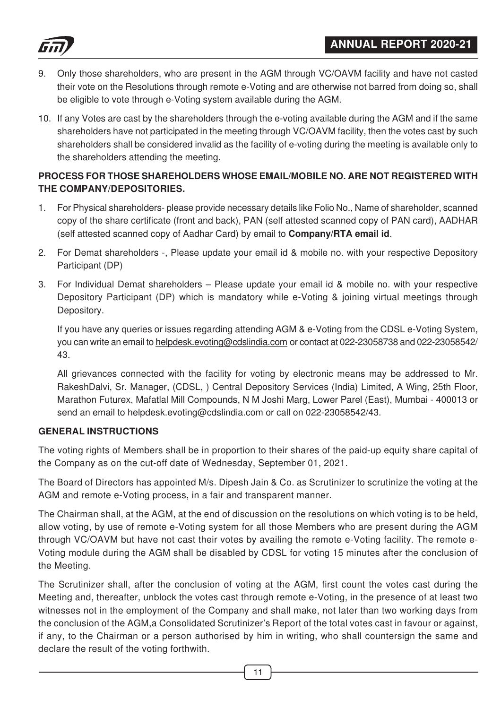

- 9. Only those shareholders, who are present in the AGM through VC/OAVM facility and have not casted their vote on the Resolutions through remote e-Voting and are otherwise not barred from doing so, shall be eligible to vote through e-Voting system available during the AGM.
- 10. If any Votes are cast by the shareholders through the e-voting available during the AGM and if the same shareholders have not participated in the meeting through VC/OAVM facility, then the votes cast by such shareholders shall be considered invalid as the facility of e-voting during the meeting is available only to the shareholders attending the meeting.

# **PROCESS FOR THOSE SHAREHOLDERS WHOSE EMAIL/MOBILE NO. ARE NOT REGISTERED WITH THE COMPANY/DEPOSITORIES.**

- 1. For Physical shareholders- please provide necessary details like Folio No., Name of shareholder, scanned copy of the share certificate (front and back), PAN (self attested scanned copy of PAN card), AADHAR (self attested scanned copy of Aadhar Card) by email to **Company/RTA email id**.
- 2. For Demat shareholders -, Please update your email id & mobile no. with your respective Depository Participant (DP)
- 3. For Individual Demat shareholders Please update your email id & mobile no. with your respective Depository Participant (DP) which is mandatory while e-Voting & joining virtual meetings through Depository.

If you have any queries or issues regarding attending AGM & e-Voting from the CDSL e-Voting System, you can write an email to helpdesk.evoting@cdslindia.com or contact at 022-23058738 and 022-23058542/ 43.

All grievances connected with the facility for voting by electronic means may be addressed to Mr. RakeshDalvi, Sr. Manager, (CDSL, ) Central Depository Services (India) Limited, A Wing, 25th Floor, Marathon Futurex, Mafatlal Mill Compounds, N M Joshi Marg, Lower Parel (East), Mumbai - 400013 or send an email to helpdesk.evoting@cdslindia.com or call on 022-23058542/43.

# **GENERAL INSTRUCTIONS**

The voting rights of Members shall be in proportion to their shares of the paid-up equity share capital of the Company as on the cut-off date of Wednesday, September 01, 2021.

The Board of Directors has appointed M/s. Dipesh Jain & Co. as Scrutinizer to scrutinize the voting at the AGM and remote e-Voting process, in a fair and transparent manner.

The Chairman shall, at the AGM, at the end of discussion on the resolutions on which voting is to be held, allow voting, by use of remote e-Voting system for all those Members who are present during the AGM through VC/OAVM but have not cast their votes by availing the remote e-Voting facility. The remote e-Voting module during the AGM shall be disabled by CDSL for voting 15 minutes after the conclusion of the Meeting.

The Scrutinizer shall, after the conclusion of voting at the AGM, first count the votes cast during the Meeting and, thereafter, unblock the votes cast through remote e-Voting, in the presence of at least two witnesses not in the employment of the Company and shall make, not later than two working days from the conclusion of the AGM,a Consolidated Scrutinizer's Report of the total votes cast in favour or against, if any, to the Chairman or a person authorised by him in writing, who shall countersign the same and declare the result of the voting forthwith.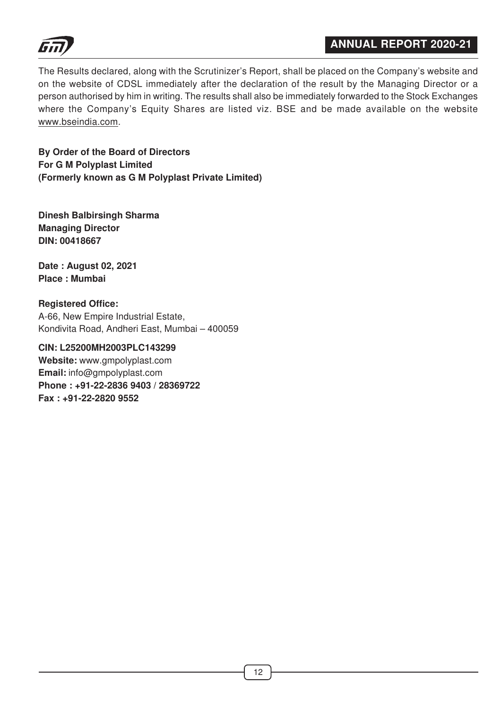

The Results declared, along with the Scrutinizer's Report, shall be placed on the Company's website and on the website of CDSL immediately after the declaration of the result by the Managing Director or a person authorised by him in writing. The results shall also be immediately forwarded to the Stock Exchanges where the Company's Equity Shares are listed viz. BSE and be made available on the website www.bseindia.com.

**By Order of the Board of Directors For G M Polyplast Limited (Formerly known as G M Polyplast Private Limited)**

**Dinesh Balbirsingh Sharma Managing Director DIN: 00418667**

**Date : August 02, 2021 Place : Mumbai**

**Registered Office:** A-66, New Empire Industrial Estate, Kondivita Road, Andheri East, Mumbai – 400059

**CIN: L25200MH2003PLC143299 Website:** www.gmpolyplast.com **Email:** info@gmpolyplast.com **Phone : +91-22-2836 9403 / 28369722 Fax : +91-22-2820 9552**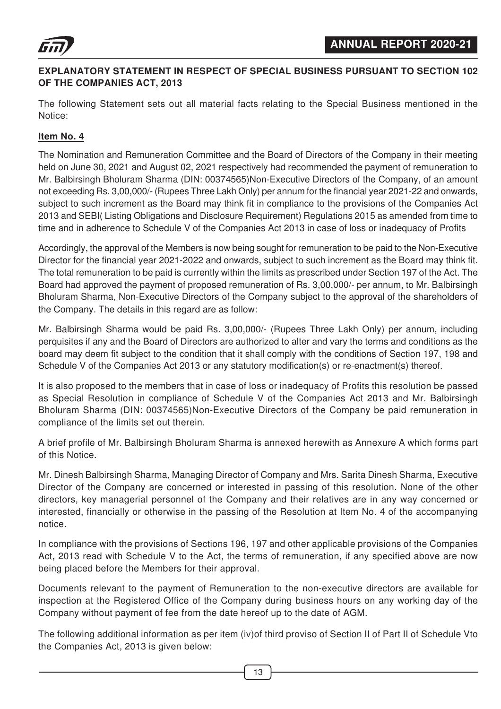

# **EXPLANATORY STATEMENT IN RESPECT OF SPECIAL BUSINESS PURSUANT TO SECTION 102 OF THE COMPANIES ACT, 2013**

The following Statement sets out all material facts relating to the Special Business mentioned in the Notice:

# **Item No. 4**

The Nomination and Remuneration Committee and the Board of Directors of the Company in their meeting held on June 30, 2021 and August 02, 2021 respectively had recommended the payment of remuneration to Mr. Balbirsingh Bholuram Sharma (DIN: 00374565)Non-Executive Directors of the Company, of an amount not exceeding Rs. 3,00,000/- (Rupees Three Lakh Only) per annum for the financial year 2021-22 and onwards, subject to such increment as the Board may think fit in compliance to the provisions of the Companies Act 2013 and SEBI( Listing Obligations and Disclosure Requirement) Regulations 2015 as amended from time to time and in adherence to Schedule V of the Companies Act 2013 in case of loss or inadequacy of Profits

Accordingly, the approval of the Members is now being sought for remuneration to be paid to the Non-Executive Director for the financial year 2021-2022 and onwards, subject to such increment as the Board may think fit. The total remuneration to be paid is currently within the limits as prescribed under Section 197 of the Act. The Board had approved the payment of proposed remuneration of Rs. 3,00,000/- per annum, to Mr. Balbirsingh Bholuram Sharma, Non-Executive Directors of the Company subject to the approval of the shareholders of the Company. The details in this regard are as follow:

Mr. Balbirsingh Sharma would be paid Rs. 3,00,000/- (Rupees Three Lakh Only) per annum, including perquisites if any and the Board of Directors are authorized to alter and vary the terms and conditions as the board may deem fit subject to the condition that it shall comply with the conditions of Section 197, 198 and Schedule V of the Companies Act 2013 or any statutory modification(s) or re-enactment(s) thereof.

It is also proposed to the members that in case of loss or inadequacy of Profits this resolution be passed as Special Resolution in compliance of Schedule V of the Companies Act 2013 and Mr. Balbirsingh Bholuram Sharma (DIN: 00374565)Non-Executive Directors of the Company be paid remuneration in compliance of the limits set out therein.

A brief profile of Mr. Balbirsingh Bholuram Sharma is annexed herewith as Annexure A which forms part of this Notice.

Mr. Dinesh Balbirsingh Sharma, Managing Director of Company and Mrs. Sarita Dinesh Sharma, Executive Director of the Company are concerned or interested in passing of this resolution. None of the other directors, key managerial personnel of the Company and their relatives are in any way concerned or interested, financially or otherwise in the passing of the Resolution at Item No. 4 of the accompanying notice.

In compliance with the provisions of Sections 196, 197 and other applicable provisions of the Companies Act, 2013 read with Schedule V to the Act, the terms of remuneration, if any specified above are now being placed before the Members for their approval.

Documents relevant to the payment of Remuneration to the non-executive directors are available for inspection at the Registered Office of the Company during business hours on any working day of the Company without payment of fee from the date hereof up to the date of AGM.

The following additional information as per item (iv)of third proviso of Section II of Part II of Schedule Vto the Companies Act, 2013 is given below: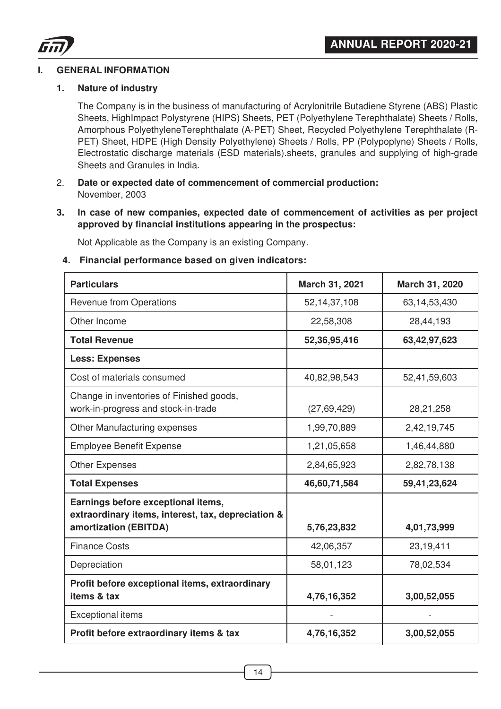

#### **I. GENERAL INFORMATION**

#### **1. Nature of industry**

The Company is in the business of manufacturing of Acrylonitrile Butadiene Styrene (ABS) Plastic Sheets, HighImpact Polystyrene (HIPS) Sheets, PET (Polyethylene Terephthalate) Sheets / Rolls, Amorphous PolyethyleneTerephthalate (A-PET) Sheet, Recycled Polyethylene Terephthalate (R-PET) Sheet, HDPE (High Density Polyethylene) Sheets / Rolls, PP (Polypoplyne) Sheets / Rolls, Electrostatic discharge materials (ESD materials).sheets, granules and supplying of high-grade Sheets and Granules in India.

- 2. **Date or expected date of commencement of commercial production:** November, 2003
- **3. In case of new companies, expected date of commencement of activities as per project approved by financial institutions appearing in the prospectus:**

Not Applicable as the Company is an existing Company.

#### **4. Financial performance based on given indicators:**

| <b>Particulars</b>                                                                                                | March 31, 2021  | March 31, 2020 |
|-------------------------------------------------------------------------------------------------------------------|-----------------|----------------|
| <b>Revenue from Operations</b>                                                                                    | 52, 14, 37, 108 | 63,14,53,430   |
| Other Income                                                                                                      | 22,58,308       | 28,44,193      |
| <b>Total Revenue</b>                                                                                              | 52,36,95,416    | 63,42,97,623   |
| <b>Less: Expenses</b>                                                                                             |                 |                |
| Cost of materials consumed                                                                                        | 40,82,98,543    | 52,41,59,603   |
| Change in inventories of Finished goods,<br>work-in-progress and stock-in-trade                                   | (27, 69, 429)   | 28,21,258      |
| Other Manufacturing expenses                                                                                      | 1,99,70,889     | 2,42,19,745    |
| <b>Employee Benefit Expense</b>                                                                                   | 1,21,05,658     | 1,46,44,880    |
| <b>Other Expenses</b>                                                                                             | 2,84,65,923     | 2,82,78,138    |
| <b>Total Expenses</b>                                                                                             | 46,60,71,584    | 59,41,23,624   |
| Earnings before exceptional items,<br>extraordinary items, interest, tax, depreciation &<br>amortization (EBITDA) | 5,76,23,832     | 4,01,73,999    |
| <b>Finance Costs</b>                                                                                              | 42,06,357       | 23,19,411      |
| Depreciation                                                                                                      | 58,01,123       | 78,02,534      |
| Profit before exceptional items, extraordinary<br>items & tax                                                     | 4,76,16,352     | 3,00,52,055    |
| <b>Exceptional items</b>                                                                                          |                 |                |
| Profit before extraordinary items & tax                                                                           | 4,76,16,352     | 3,00,52,055    |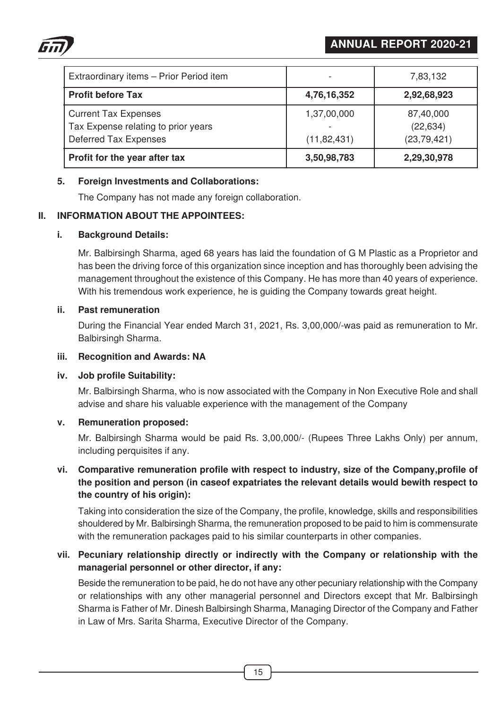



| Extraordinary items - Prior Period item                                                     |                              | 7,83,132                                |
|---------------------------------------------------------------------------------------------|------------------------------|-----------------------------------------|
| <b>Profit before Tax</b>                                                                    | 4,76,16,352                  | 2,92,68,923                             |
| <b>Current Tax Expenses</b><br>Tax Expense relating to prior years<br>Deferred Tax Expenses | 1,37,00,000<br>(11, 82, 431) | 87,40,000<br>(22, 634)<br>(23, 79, 421) |
| Profit for the year after tax                                                               | 3,50,98,783                  | 2,29,30,978                             |

#### **5. Foreign Investments and Collaborations:**

The Company has not made any foreign collaboration.

#### **II. INFORMATION ABOUT THE APPOINTEES:**

#### **i. Background Details:**

Mr. Balbirsingh Sharma, aged 68 years has laid the foundation of G M Plastic as a Proprietor and has been the driving force of this organization since inception and has thoroughly been advising the management throughout the existence of this Company. He has more than 40 years of experience. With his tremendous work experience, he is guiding the Company towards great height.

#### **ii. Past remuneration**

During the Financial Year ended March 31, 2021, Rs. 3,00,000/-was paid as remuneration to Mr. Balbirsingh Sharma.

#### **iii. Recognition and Awards: NA**

#### **iv. Job profile Suitability:**

Mr. Balbirsingh Sharma, who is now associated with the Company in Non Executive Role and shall advise and share his valuable experience with the management of the Company

#### **v. Remuneration proposed:**

Mr. Balbirsingh Sharma would be paid Rs. 3,00,000/- (Rupees Three Lakhs Only) per annum, including perquisites if any.

# **vi. Comparative remuneration profile with respect to industry, size of the Company,profile of the position and person (in caseof expatriates the relevant details would bewith respect to the country of his origin):**

Taking into consideration the size of the Company, the profile, knowledge, skills and responsibilities shouldered by Mr. Balbirsingh Sharma, the remuneration proposed to be paid to him is commensurate with the remuneration packages paid to his similar counterparts in other companies.

# **vii. Pecuniary relationship directly or indirectly with the Company or relationship with the managerial personnel or other director, if any:**

Beside the remuneration to be paid, he do not have any other pecuniary relationship with the Company or relationships with any other managerial personnel and Directors except that Mr. Balbirsingh Sharma is Father of Mr. Dinesh Balbirsingh Sharma, Managing Director of the Company and Father in Law of Mrs. Sarita Sharma, Executive Director of the Company.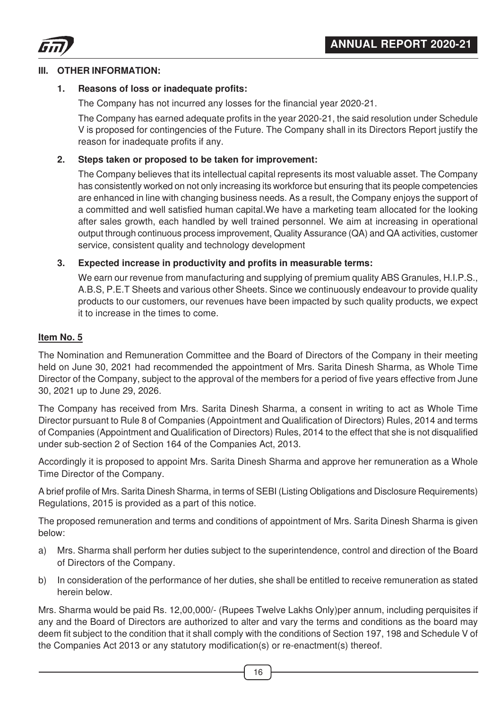



#### **III. OTHER INFORMATION:**

#### **1. Reasons of loss or inadequate profits:**

The Company has not incurred any losses for the financial year 2020-21.

The Company has earned adequate profits in the year 2020-21, the said resolution under Schedule V is proposed for contingencies of the Future. The Company shall in its Directors Report justify the reason for inadequate profits if any.

#### **2. Steps taken or proposed to be taken for improvement:**

The Company believes that its intellectual capital represents its most valuable asset. The Company has consistently worked on not only increasing its workforce but ensuring that its people competencies are enhanced in line with changing business needs. As a result, the Company enjoys the support of a committed and well satisfied human capital.We have a marketing team allocated for the looking after sales growth, each handled by well trained personnel. We aim at increasing in operational output through continuous process improvement, Quality Assurance (QA) and QA activities, customer service, consistent quality and technology development

#### **3. Expected increase in productivity and profits in measurable terms:**

We earn our revenue from manufacturing and supplying of premium quality ABS Granules, H.I.P.S., A.B.S, P.E.T Sheets and various other Sheets. Since we continuously endeavour to provide quality products to our customers, our revenues have been impacted by such quality products, we expect it to increase in the times to come.

# **Item No. 5**

The Nomination and Remuneration Committee and the Board of Directors of the Company in their meeting held on June 30, 2021 had recommended the appointment of Mrs. Sarita Dinesh Sharma, as Whole Time Director of the Company, subject to the approval of the members for a period of five years effective from June 30, 2021 up to June 29, 2026.

The Company has received from Mrs. Sarita Dinesh Sharma, a consent in writing to act as Whole Time Director pursuant to Rule 8 of Companies (Appointment and Qualification of Directors) Rules, 2014 and terms of Companies (Appointment and Qualification of Directors) Rules, 2014 to the effect that she is not disqualified under sub-section 2 of Section 164 of the Companies Act, 2013.

Accordingly it is proposed to appoint Mrs. Sarita Dinesh Sharma and approve her remuneration as a Whole Time Director of the Company.

A brief profile of Mrs. Sarita Dinesh Sharma, in terms of SEBI (Listing Obligations and Disclosure Requirements) Regulations, 2015 is provided as a part of this notice.

The proposed remuneration and terms and conditions of appointment of Mrs. Sarita Dinesh Sharma is given below:

- a) Mrs. Sharma shall perform her duties subject to the superintendence, control and direction of the Board of Directors of the Company.
- b) In consideration of the performance of her duties, she shall be entitled to receive remuneration as stated herein below.

Mrs. Sharma would be paid Rs. 12,00,000/- (Rupees Twelve Lakhs Only)per annum, including perquisites if any and the Board of Directors are authorized to alter and vary the terms and conditions as the board may deem fit subject to the condition that it shall comply with the conditions of Section 197, 198 and Schedule V of the Companies Act 2013 or any statutory modification(s) or re-enactment(s) thereof.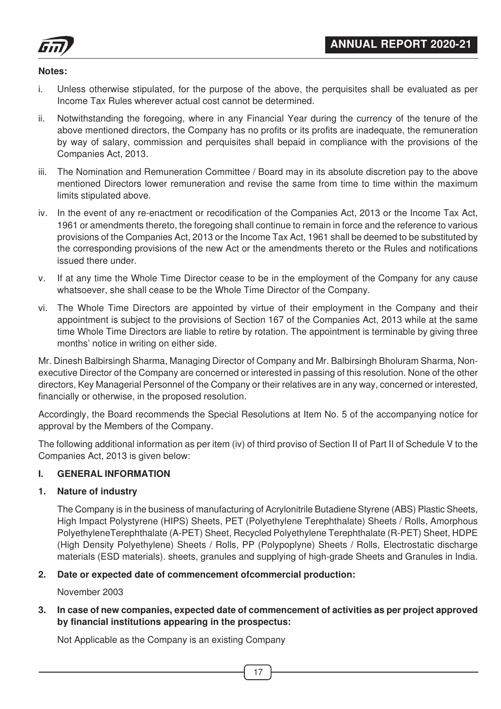

#### **Notes:**

- i. Unless otherwise stipulated, for the purpose of the above, the perquisites shall be evaluated as per Income Tax Rules wherever actual cost cannot be determined.
- ii. Notwithstanding the foregoing, where in any Financial Year during the currency of the tenure of the above mentioned directors, the Company has no profits or its profits are inadequate, the remuneration by way of salary, commission and perquisites shall bepaid in compliance with the provisions of the Companies Act, 2013.
- iii. The Nomination and Remuneration Committee / Board may in its absolute discretion pay to the above mentioned Directors lower remuneration and revise the same from time to time within the maximum limits stipulated above.
- iv. In the event of any re-enactment or recodification of the Companies Act, 2013 or the Income Tax Act, 1961 or amendments thereto, the foregoing shall continue to remain in force and the reference to various provisions of the Companies Act, 2013 or the Income Tax Act, 1961 shall be deemed to be substituted by the corresponding provisions of the new Act or the amendments thereto or the Rules and notifications issued there under.
- v. If at any time the Whole Time Director cease to be in the employment of the Company for any cause whatsoever, she shall cease to be the Whole Time Director of the Company.
- vi. The Whole Time Directors are appointed by virtue of their employment in the Company and their appointment is subject to the provisions of Section 167 of the Companies Act, 2013 while at the same time Whole Time Directors are liable to retire by rotation. The appointment is terminable by giving three months' notice in writing on either side.

Mr. Dinesh Balbirsingh Sharma, Managing Director of Company and Mr. Balbirsingh Bholuram Sharma, Nonexecutive Director of the Company are concerned or interested in passing of this resolution. None of the other directors, Key Managerial Personnel of the Company or their relatives are in any way, concerned or interested, financially or otherwise, in the proposed resolution.

Accordingly, the Board recommends the Special Resolutions at Item No. 5 of the accompanying notice for approval by the Members of the Company.

The following additional information as per item (iv) of third proviso of Section II of Part II of Schedule V to the Companies Act, 2013 is given below:

# **I. GENERAL INFORMATION**

#### **1. Nature of industry**

The Company is in the business of manufacturing of Acrylonitrile Butadiene Styrene (ABS) Plastic Sheets, High Impact Polystyrene (HIPS) Sheets, PET (Polyethylene Terephthalate) Sheets / Rolls, Amorphous PolyethyleneTerephthalate (A-PET) Sheet, Recycled Polyethylene Terephthalate (R-PET) Sheet, HDPE (High Density Polyethylene) Sheets / Rolls, PP (Polypoplyne) Sheets / Rolls, Electrostatic discharge materials (ESD materials). sheets, granules and supplying of high-grade Sheets and Granules in India.

# **2. Date or expected date of commencement ofcommercial production:**

November 2003

#### **3. In case of new companies, expected date of commencement of activities as per project approved by financial institutions appearing in the prospectus:**

Not Applicable as the Company is an existing Company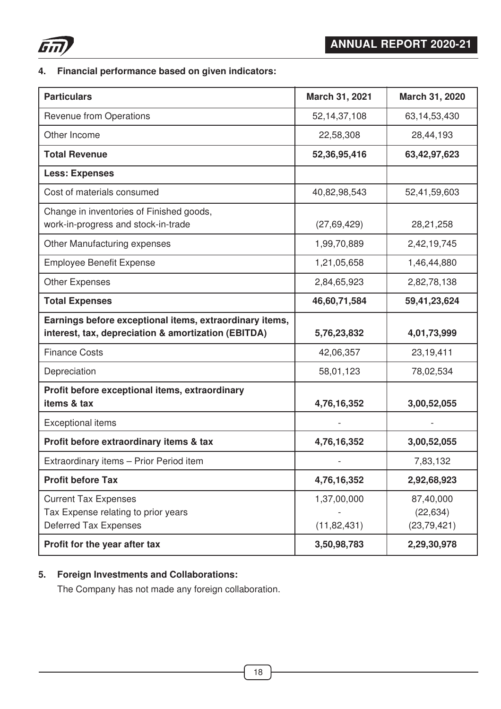

# **4. Financial performance based on given indicators:**

| <b>Particulars</b>                                                                                             | March 31, 2021               | March 31, 2020                          |
|----------------------------------------------------------------------------------------------------------------|------------------------------|-----------------------------------------|
| <b>Revenue from Operations</b>                                                                                 | 52, 14, 37, 108              | 63, 14, 53, 430                         |
| Other Income                                                                                                   | 22,58,308                    | 28,44,193                               |
| <b>Total Revenue</b>                                                                                           | 52,36,95,416                 | 63,42,97,623                            |
| <b>Less: Expenses</b>                                                                                          |                              |                                         |
| Cost of materials consumed                                                                                     | 40,82,98,543                 | 52,41,59,603                            |
| Change in inventories of Finished goods,<br>work-in-progress and stock-in-trade                                | (27, 69, 429)                | 28,21,258                               |
| Other Manufacturing expenses                                                                                   | 1,99,70,889                  | 2,42,19,745                             |
| <b>Employee Benefit Expense</b>                                                                                | 1,21,05,658                  | 1,46,44,880                             |
| <b>Other Expenses</b>                                                                                          | 2,84,65,923                  | 2,82,78,138                             |
| <b>Total Expenses</b>                                                                                          | 46,60,71,584                 | 59,41,23,624                            |
| Earnings before exceptional items, extraordinary items,<br>interest, tax, depreciation & amortization (EBITDA) | 5,76,23,832                  | 4,01,73,999                             |
| <b>Finance Costs</b>                                                                                           | 42,06,357                    | 23,19,411                               |
| Depreciation                                                                                                   | 58,01,123                    | 78,02,534                               |
| Profit before exceptional items, extraordinary<br>items & tax                                                  | 4,76,16,352                  | 3,00,52,055                             |
| <b>Exceptional items</b>                                                                                       |                              |                                         |
| Profit before extraordinary items & tax                                                                        | 4,76,16,352                  | 3,00,52,055                             |
| Extraordinary items - Prior Period item                                                                        |                              | 7,83,132                                |
| <b>Profit before Tax</b>                                                                                       | 4,76,16,352                  | 2,92,68,923                             |
| <b>Current Tax Expenses</b><br>Tax Expense relating to prior years<br><b>Deferred Tax Expenses</b>             | 1,37,00,000<br>(11, 82, 431) | 87,40,000<br>(22, 634)<br>(23, 79, 421) |
| Profit for the year after tax                                                                                  | 3,50,98,783                  | 2,29,30,978                             |

# **5. Foreign Investments and Collaborations:**

The Company has not made any foreign collaboration.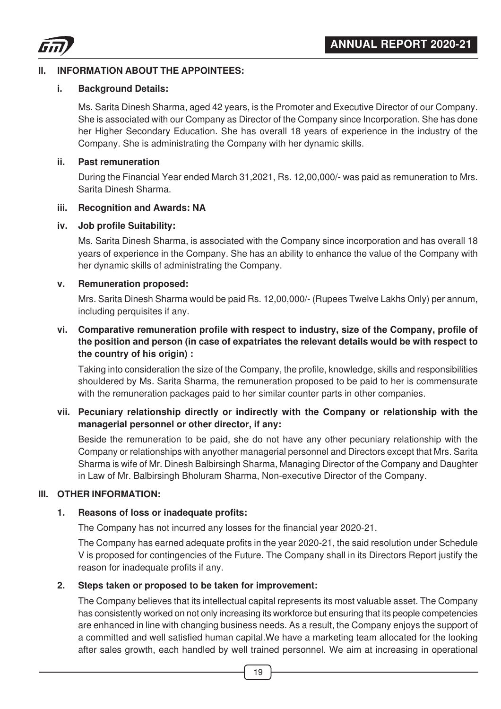

# **II. INFORMATION ABOUT THE APPOINTEES:**

#### **i. Background Details:**

Ms. Sarita Dinesh Sharma, aged 42 years, is the Promoter and Executive Director of our Company. She is associated with our Company as Director of the Company since Incorporation. She has done her Higher Secondary Education. She has overall 18 years of experience in the industry of the Company. She is administrating the Company with her dynamic skills.

#### **ii. Past remuneration**

During the Financial Year ended March 31,2021, Rs. 12,00,000/- was paid as remuneration to Mrs. Sarita Dinesh Sharma.

#### **iii. Recognition and Awards: NA**

#### **iv. Job profile Suitability:**

Ms. Sarita Dinesh Sharma, is associated with the Company since incorporation and has overall 18 years of experience in the Company. She has an ability to enhance the value of the Company with her dynamic skills of administrating the Company.

#### **v. Remuneration proposed:**

Mrs. Sarita Dinesh Sharma would be paid Rs. 12,00,000/- (Rupees Twelve Lakhs Only) per annum, including perquisites if any.

# **vi. Comparative remuneration profile with respect to industry, size of the Company, profile of the position and person (in case of expatriates the relevant details would be with respect to the country of his origin) :**

Taking into consideration the size of the Company, the profile, knowledge, skills and responsibilities shouldered by Ms. Sarita Sharma, the remuneration proposed to be paid to her is commensurate with the remuneration packages paid to her similar counter parts in other companies.

# **vii. Pecuniary relationship directly or indirectly with the Company or relationship with the managerial personnel or other director, if any:**

Beside the remuneration to be paid, she do not have any other pecuniary relationship with the Company or relationships with anyother managerial personnel and Directors except that Mrs. Sarita Sharma is wife of Mr. Dinesh Balbirsingh Sharma, Managing Director of the Company and Daughter in Law of Mr. Balbirsingh Bholuram Sharma, Non-executive Director of the Company.

# **III. OTHER INFORMATION:**

# **1. Reasons of loss or inadequate profits:**

The Company has not incurred any losses for the financial year 2020-21.

The Company has earned adequate profits in the year 2020-21, the said resolution under Schedule V is proposed for contingencies of the Future. The Company shall in its Directors Report justify the reason for inadequate profits if any.

# **2. Steps taken or proposed to be taken for improvement:**

The Company believes that its intellectual capital represents its most valuable asset. The Company has consistently worked on not only increasing its workforce but ensuring that its people competencies are enhanced in line with changing business needs. As a result, the Company enjoys the support of a committed and well satisfied human capital.We have a marketing team allocated for the looking after sales growth, each handled by well trained personnel. We aim at increasing in operational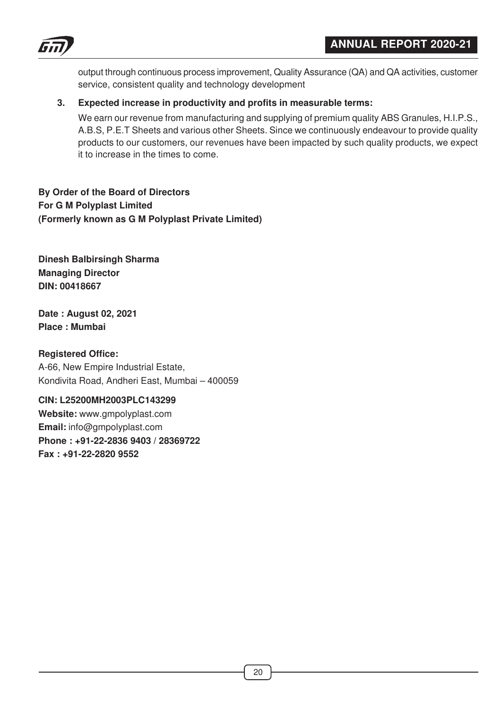



output through continuous process improvement, Quality Assurance (QA) and QA activities, customer service, consistent quality and technology development

# **3. Expected increase in productivity and profits in measurable terms:**

We earn our revenue from manufacturing and supplying of premium quality ABS Granules, H.I.P.S., A.B.S, P.E.T Sheets and various other Sheets. Since we continuously endeavour to provide quality products to our customers, our revenues have been impacted by such quality products, we expect it to increase in the times to come.

# **By Order of the Board of Directors For G M Polyplast Limited (Formerly known as G M Polyplast Private Limited)**

**Dinesh Balbirsingh Sharma Managing Director DIN: 00418667**

**Date : August 02, 2021 Place : Mumbai**

# **Registered Office:**

A-66, New Empire Industrial Estate, Kondivita Road, Andheri East, Mumbai – 400059

# **CIN: L25200MH2003PLC143299**

**Website:** www.gmpolyplast.com **Email:** info@gmpolyplast.com **Phone : +91-22-2836 9403 / 28369722 Fax : +91-22-2820 9552**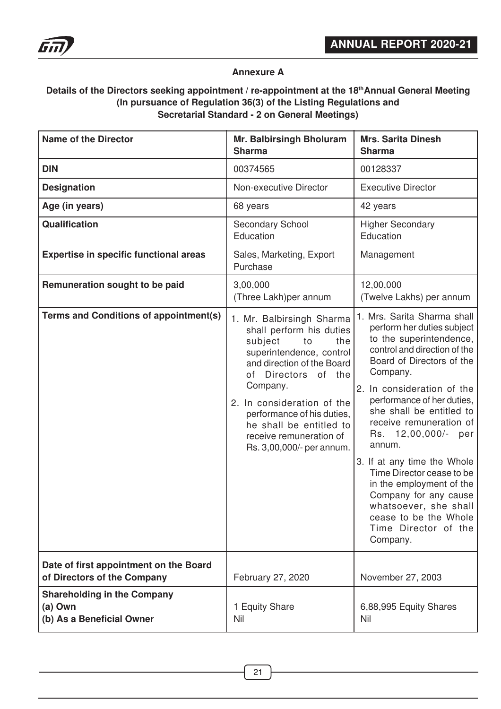

# **Annexure A**

# **Details of the Directors seeking appointment / re-appointment at the 18thAnnual General Meeting (In pursuance of Regulation 36(3) of the Listing Regulations and Secretarial Standard - 2 on General Meetings)**

| <b>Name of the Director</b>                                                | <b>Mr. Balbirsingh Bholuram</b><br><b>Sharma</b>                                                                                                                                                                                                                                                                                       | <b>Mrs. Sarita Dinesh</b><br><b>Sharma</b>                                                                                                                                                                                                                                                                                                                                                                                                                                                                                  |
|----------------------------------------------------------------------------|----------------------------------------------------------------------------------------------------------------------------------------------------------------------------------------------------------------------------------------------------------------------------------------------------------------------------------------|-----------------------------------------------------------------------------------------------------------------------------------------------------------------------------------------------------------------------------------------------------------------------------------------------------------------------------------------------------------------------------------------------------------------------------------------------------------------------------------------------------------------------------|
| <b>DIN</b>                                                                 | 00374565                                                                                                                                                                                                                                                                                                                               | 00128337                                                                                                                                                                                                                                                                                                                                                                                                                                                                                                                    |
| <b>Designation</b>                                                         | Non-executive Director                                                                                                                                                                                                                                                                                                                 | <b>Executive Director</b>                                                                                                                                                                                                                                                                                                                                                                                                                                                                                                   |
| Age (in years)                                                             | 68 years                                                                                                                                                                                                                                                                                                                               | 42 years                                                                                                                                                                                                                                                                                                                                                                                                                                                                                                                    |
| <b>Qualification</b>                                                       | Secondary School<br>Education                                                                                                                                                                                                                                                                                                          | <b>Higher Secondary</b><br>Education                                                                                                                                                                                                                                                                                                                                                                                                                                                                                        |
| <b>Expertise in specific functional areas</b>                              | Sales, Marketing, Export<br>Purchase                                                                                                                                                                                                                                                                                                   | Management                                                                                                                                                                                                                                                                                                                                                                                                                                                                                                                  |
| Remuneration sought to be paid                                             | 3,00,000<br>(Three Lakh)per annum                                                                                                                                                                                                                                                                                                      | 12,00,000<br>(Twelve Lakhs) per annum                                                                                                                                                                                                                                                                                                                                                                                                                                                                                       |
| Terms and Conditions of appointment(s)                                     | 1. Mr. Balbirsingh Sharma<br>shall perform his duties<br>subject<br>to<br>the<br>superintendence, control<br>and direction of the Board<br><b>Directors</b><br>of the<br>of<br>Company.<br>2. In consideration of the<br>performance of his duties,<br>he shall be entitled to<br>receive remuneration of<br>Rs. 3,00,000/- per annum. | 1. Mrs. Sarita Sharma shall<br>perform her duties subject<br>to the superintendence,<br>control and direction of the<br>Board of Directors of the<br>Company.<br>2. In consideration of the<br>performance of her duties,<br>she shall be entitled to<br>receive remuneration of<br>Rs. 12,00,000/-<br>per<br>annum.<br>3. If at any time the Whole<br>Time Director cease to be<br>in the employment of the<br>Company for any cause<br>whatsoever, she shall<br>cease to be the Whole<br>Time Director of the<br>Company. |
| Date of first appointment on the Board<br>of Directors of the Company      | February 27, 2020                                                                                                                                                                                                                                                                                                                      | November 27, 2003                                                                                                                                                                                                                                                                                                                                                                                                                                                                                                           |
| <b>Shareholding in the Company</b><br>(a) Own<br>(b) As a Beneficial Owner | 1 Equity Share<br>Nil                                                                                                                                                                                                                                                                                                                  | 6,88,995 Equity Shares<br>Nil                                                                                                                                                                                                                                                                                                                                                                                                                                                                                               |